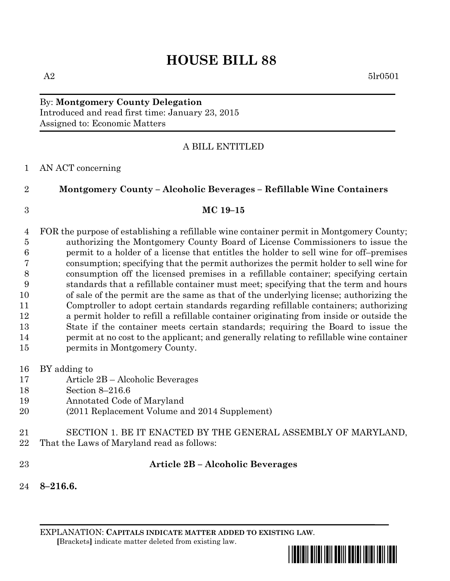# **HOUSE BILL 88**

### By: **Montgomery County Delegation** Introduced and read first time: January 23, 2015 Assigned to: Economic Matters

### A BILL ENTITLED

### AN ACT concerning

## **Montgomery County – Alcoholic Beverages – Refillable Wine Containers**

#### **MC 19–15**

 FOR the purpose of establishing a refillable wine container permit in Montgomery County; authorizing the Montgomery County Board of License Commissioners to issue the permit to a holder of a license that entitles the holder to sell wine for off–premises consumption; specifying that the permit authorizes the permit holder to sell wine for consumption off the licensed premises in a refillable container; specifying certain standards that a refillable container must meet; specifying that the term and hours of sale of the permit are the same as that of the underlying license; authorizing the Comptroller to adopt certain standards regarding refillable containers; authorizing a permit holder to refill a refillable container originating from inside or outside the State if the container meets certain standards; requiring the Board to issue the permit at no cost to the applicant; and generally relating to refillable wine container permits in Montgomery County.

- BY adding to
- Article 2B Alcoholic Beverages
- Section 8–216.6
- Annotated Code of Maryland
- (2011 Replacement Volume and 2014 Supplement)
- SECTION 1. BE IT ENACTED BY THE GENERAL ASSEMBLY OF MARYLAND,
- That the Laws of Maryland read as follows:
- 

### **Article 2B – Alcoholic Beverages**

**8–216.6.**

EXPLANATION: **CAPITALS INDICATE MATTER ADDED TO EXISTING LAW**.  **[**Brackets**]** indicate matter deleted from existing law.

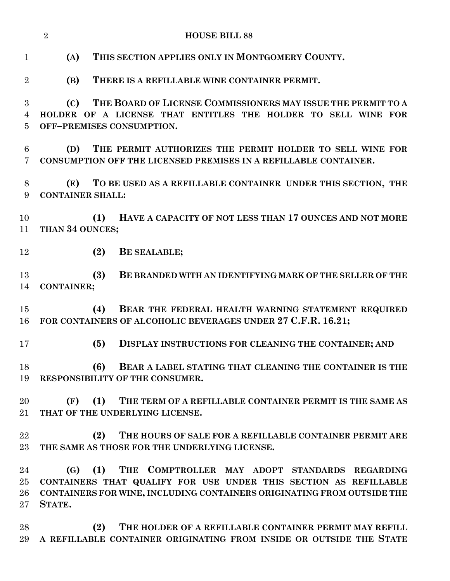| <b>HOUSE BILL 88</b><br>$\overline{2}$ |                                                                                                |                                                                                                                                                                                                    |
|----------------------------------------|------------------------------------------------------------------------------------------------|----------------------------------------------------------------------------------------------------------------------------------------------------------------------------------------------------|
| $\mathbf{1}$                           | (A)                                                                                            | THIS SECTION APPLIES ONLY IN MONTGOMERY COUNTY.                                                                                                                                                    |
| $\overline{2}$                         | (B)                                                                                            | THERE IS A REFILLABLE WINE CONTAINER PERMIT.                                                                                                                                                       |
| 3                                      | (C)                                                                                            | THE BOARD OF LICENSE COMMISSIONERS MAY ISSUE THE PERMIT TO A                                                                                                                                       |
| $\overline{4}$<br>5                    |                                                                                                | HOLDER OF A LICENSE THAT ENTITLES THE HOLDER TO SELL WINE FOR<br>OFF-PREMISES CONSUMPTION.                                                                                                         |
| 6<br>7                                 | (D)                                                                                            | THE PERMIT AUTHORIZES THE PERMIT HOLDER TO SELL WINE FOR<br>CONSUMPTION OFF THE LICENSED PREMISES IN A REFILLABLE CONTAINER.                                                                       |
| 8<br>9                                 | TO BE USED AS A REFILLABLE CONTAINER UNDER THIS SECTION, THE<br>(E)<br><b>CONTAINER SHALL:</b> |                                                                                                                                                                                                    |
| 10<br>11                               | THAN 34 OUNCES;                                                                                | HAVE A CAPACITY OF NOT LESS THAN 17 OUNCES AND NOT MORE<br>(1)                                                                                                                                     |
| 12                                     |                                                                                                | (2)<br>BE SEALABLE;                                                                                                                                                                                |
| 13<br>14                               | <b>CONTAINER;</b>                                                                              | (3)<br>BE BRANDED WITH AN IDENTIFYING MARK OF THE SELLER OF THE                                                                                                                                    |
| 15<br>16                               |                                                                                                | (4)<br>BEAR THE FEDERAL HEALTH WARNING STATEMENT REQUIRED<br>FOR CONTAINERS OF ALCOHOLIC BEVERAGES UNDER 27 C.F.R. 16.21;                                                                          |
| 17                                     |                                                                                                | (5)<br>DISPLAY INSTRUCTIONS FOR CLEANING THE CONTAINER; AND                                                                                                                                        |
| 18<br>19                               |                                                                                                | (6)<br>BEAR A LABEL STATING THAT CLEANING THE CONTAINER IS THE<br>RESPONSIBILITY OF THE CONSUMER.                                                                                                  |
| 20<br>21                               | (F)                                                                                            | (1) THE TERM OF A REFILLABLE CONTAINER PERMIT IS THE SAME AS<br>THAT OF THE UNDERLYING LICENSE.                                                                                                    |
| 22<br>23                               |                                                                                                | (2)<br>THE HOURS OF SALE FOR A REFILLABLE CONTAINER PERMIT ARE<br>THE SAME AS THOSE FOR THE UNDERLYING LICENSE.                                                                                    |
| 24<br>$25\,$<br>26<br>$27\,$           | (G)<br>STATE.                                                                                  | THE COMPTROLLER MAY ADOPT STANDARDS REGARDING<br>(1)<br>CONTAINERS THAT QUALIFY FOR USE UNDER THIS SECTION AS REFILLABLE<br>CONTAINERS FOR WINE, INCLUDING CONTAINERS ORIGINATING FROM OUTSIDE THE |
| 28<br>29                               |                                                                                                | THE HOLDER OF A REFILLABLE CONTAINER PERMIT MAY REFILL<br>(2)<br>A REFILLABLE CONTAINER ORIGINATING FROM INSIDE OR OUTSIDE THE STATE                                                               |